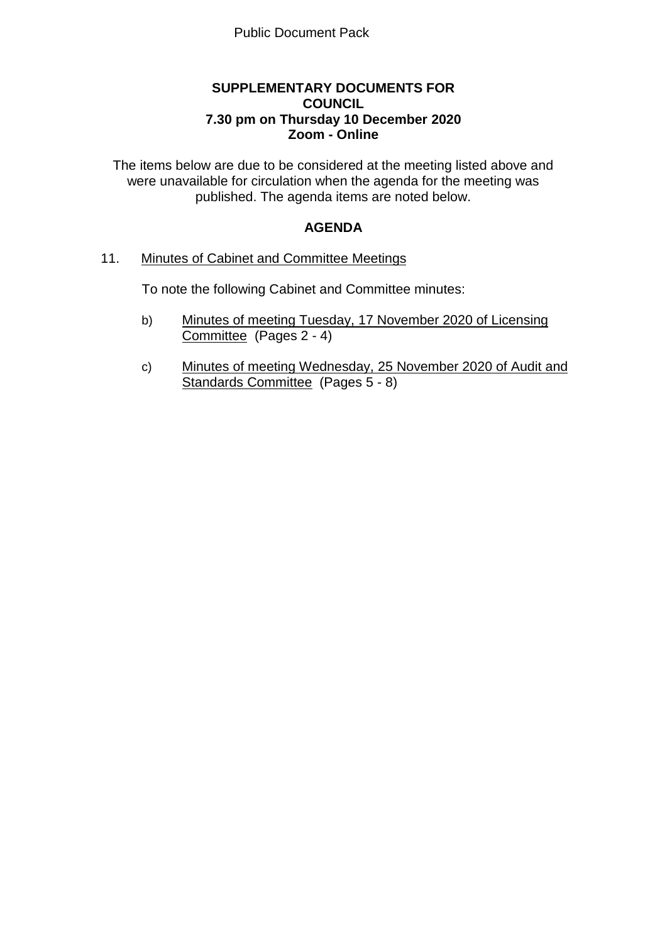## **SUPPLEMENTARY DOCUMENTS FOR COUNCIL 7.30 pm on Thursday 10 December 2020 Zoom - Online**

The items below are due to be considered at the meeting listed above and were unavailable for circulation when the agenda for the meeting was published. The agenda items are noted below.

# **AGENDA**

## 11. Minutes of Cabinet and Committee Meetings

To note the following Cabinet and Committee minutes:

- b) Minutes of meeting Tuesday, 17 November 2020 of Licensing Committee (Pages 2 - 4)
- c) Minutes of meeting Wednesday, 25 November 2020 of Audit and Standards Committee (Pages 5 - 8)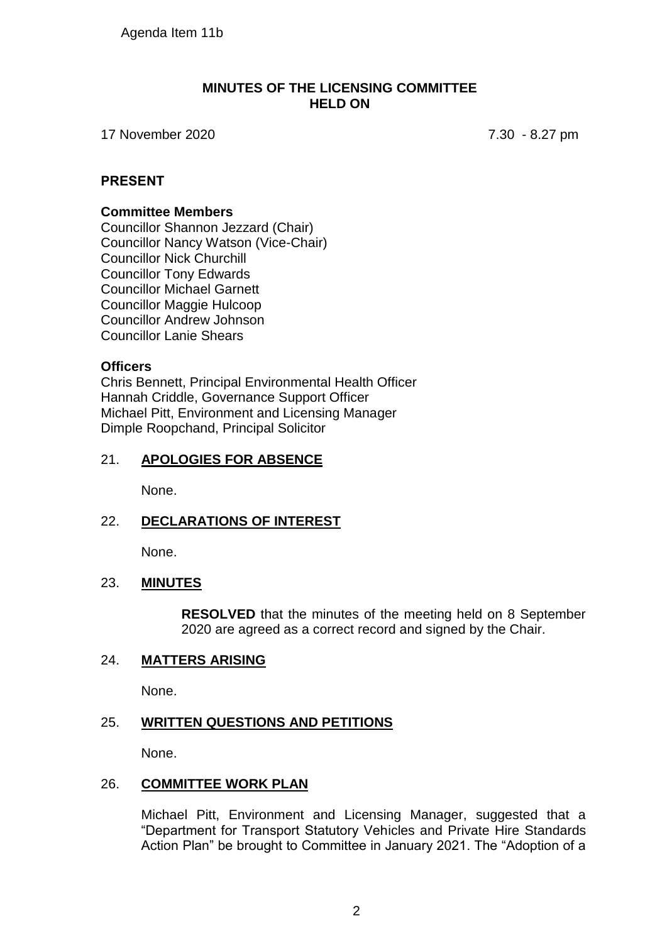Agenda Item 11b

#### **MINUTES OF THE LICENSING COMMITTEE HELD ON**

17 November 2020 7.30 - 8.27 pm

## **PRESENT**

#### **Committee Members**

Councillor Shannon Jezzard (Chair) Councillor Nancy Watson (Vice-Chair) Councillor Nick Churchill Councillor Tony Edwards Councillor Michael Garnett Councillor Maggie Hulcoop Councillor Andrew Johnson Councillor Lanie Shears

## **Officers**

Chris Bennett, Principal Environmental Health Officer Hannah Criddle, Governance Support Officer Michael Pitt, Environment and Licensing Manager Dimple Roopchand, Principal Solicitor

## 21. **APOLOGIES FOR ABSENCE**

None.

# 22. **DECLARATIONS OF INTEREST**

None.

## 23. **MINUTES**

**RESOLVED** that the minutes of the meeting held on 8 September 2020 are agreed as a correct record and signed by the Chair.

## 24. **MATTERS ARISING**

None.

## 25. **WRITTEN QUESTIONS AND PETITIONS**

None.

## 26. **COMMITTEE WORK PLAN**

Michael Pitt, Environment and Licensing Manager, suggested that a "Department for Transport Statutory Vehicles and Private Hire Standards Action Plan" be brought to Committee in January 2021. The "Adoption of a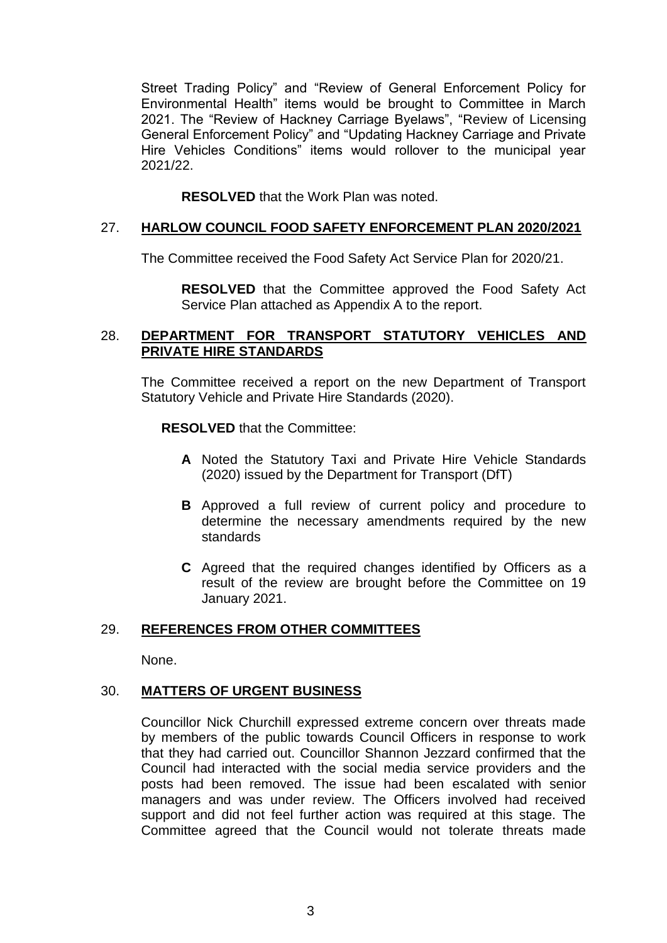Street Trading Policy" and "Review of General Enforcement Policy for Environmental Health" items would be brought to Committee in March 2021. The "Review of Hackney Carriage Byelaws", "Review of Licensing General Enforcement Policy" and "Updating Hackney Carriage and Private Hire Vehicles Conditions" items would rollover to the municipal year 2021/22.

**RESOLVED** that the Work Plan was noted.

## 27. **HARLOW COUNCIL FOOD SAFETY ENFORCEMENT PLAN 2020/2021**

The Committee received the Food Safety Act Service Plan for 2020/21.

**RESOLVED** that the Committee approved the Food Safety Act Service Plan attached as Appendix A to the report.

## 28. **DEPARTMENT FOR TRANSPORT STATUTORY VEHICLES AND PRIVATE HIRE STANDARDS**

The Committee received a report on the new Department of Transport Statutory Vehicle and Private Hire Standards (2020).

**RESOLVED** that the Committee:

- **A** Noted the Statutory Taxi and Private Hire Vehicle Standards (2020) issued by the Department for Transport (DfT)
- **B** Approved a full review of current policy and procedure to determine the necessary amendments required by the new standards
- **C** Agreed that the required changes identified by Officers as a result of the review are brought before the Committee on 19 January 2021.

## 29. **REFERENCES FROM OTHER COMMITTEES**

None.

## 30. **MATTERS OF URGENT BUSINESS**

Councillor Nick Churchill expressed extreme concern over threats made by members of the public towards Council Officers in response to work that they had carried out. Councillor Shannon Jezzard confirmed that the Council had interacted with the social media service providers and the posts had been removed. The issue had been escalated with senior managers and was under review. The Officers involved had received support and did not feel further action was required at this stage. The Committee agreed that the Council would not tolerate threats made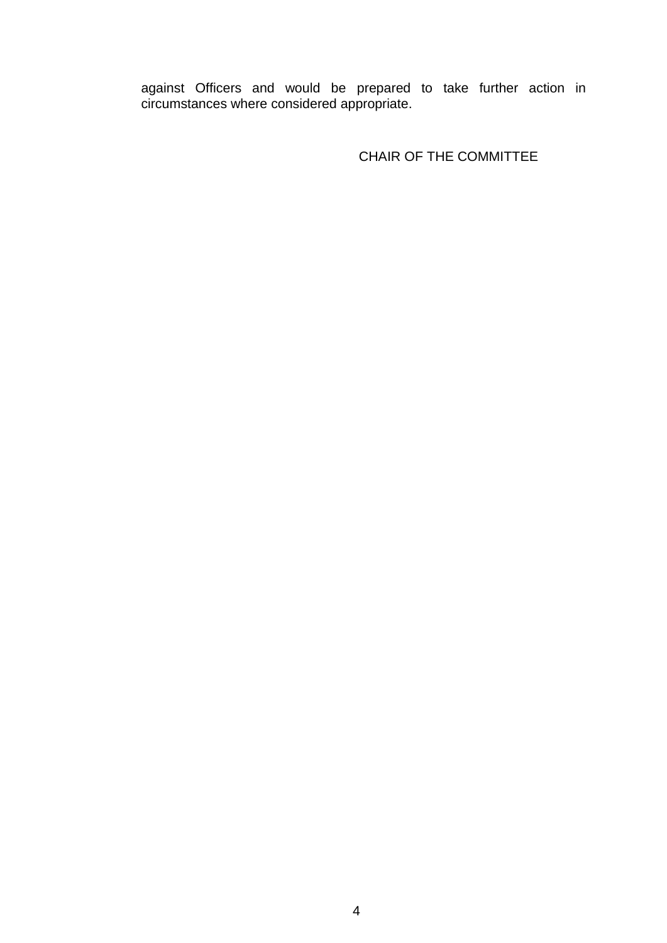against Officers and would be prepared to take further action in circumstances where considered appropriate.

CHAIR OF THE COMMITTEE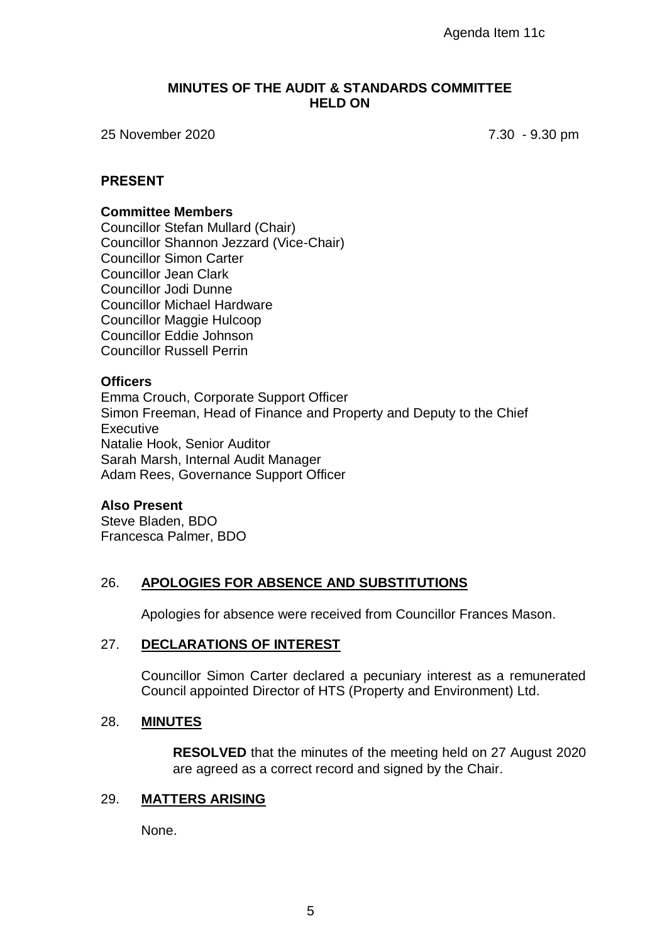#### **MINUTES OF THE AUDIT & STANDARDS COMMITTEE HELD ON**

25 November 2020 7.30 - 9.30 pm

#### **PRESENT**

#### **Committee Members**

Councillor Stefan Mullard (Chair) Councillor Shannon Jezzard (Vice-Chair) Councillor Simon Carter Councillor Jean Clark Councillor Jodi Dunne Councillor Michael Hardware Councillor Maggie Hulcoop Councillor Eddie Johnson Councillor Russell Perrin

#### **Officers**

Emma Crouch, Corporate Support Officer Simon Freeman, Head of Finance and Property and Deputy to the Chief **Executive** Natalie Hook, Senior Auditor Sarah Marsh, Internal Audit Manager Adam Rees, Governance Support Officer

#### **Also Present**

Steve Bladen, BDO Francesca Palmer, BDO

## 26. **APOLOGIES FOR ABSENCE AND SUBSTITUTIONS**

Apologies for absence were received from Councillor Frances Mason.

#### 27. **DECLARATIONS OF INTEREST**

Councillor Simon Carter declared a pecuniary interest as a remunerated Council appointed Director of HTS (Property and Environment) Ltd.

#### 28. **MINUTES**

**RESOLVED** that the minutes of the meeting held on 27 August 2020 are agreed as a correct record and signed by the Chair.

#### 29. **MATTERS ARISING**

None.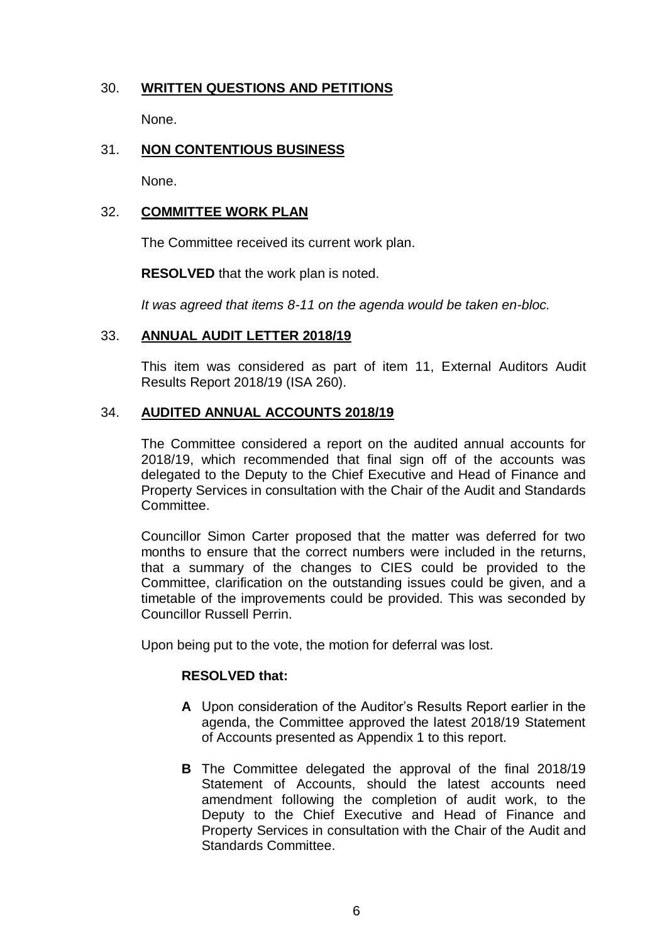# 30. **WRITTEN QUESTIONS AND PETITIONS**

None.

# 31. **NON CONTENTIOUS BUSINESS**

None.

## 32. **COMMITTEE WORK PLAN**

The Committee received its current work plan.

**RESOLVED** that the work plan is noted.

*It was agreed that items 8-11 on the agenda would be taken en-bloc.*

#### 33. **ANNUAL AUDIT LETTER 2018/19**

This item was considered as part of item 11, External Auditors Audit Results Report 2018/19 (ISA 260).

# 34. **AUDITED ANNUAL ACCOUNTS 2018/19**

The Committee considered a report on the audited annual accounts for 2018/19, which recommended that final sign off of the accounts was delegated to the Deputy to the Chief Executive and Head of Finance and Property Services in consultation with the Chair of the Audit and Standards Committee.

Councillor Simon Carter proposed that the matter was deferred for two months to ensure that the correct numbers were included in the returns, that a summary of the changes to CIES could be provided to the Committee, clarification on the outstanding issues could be given, and a timetable of the improvements could be provided. This was seconded by Councillor Russell Perrin.

Upon being put to the vote, the motion for deferral was lost.

## **RESOLVED that:**

- **A** Upon consideration of the Auditor's Results Report earlier in the agenda, the Committee approved the latest 2018/19 Statement of Accounts presented as Appendix 1 to this report.
- **B** The Committee delegated the approval of the final 2018/19 Statement of Accounts, should the latest accounts need amendment following the completion of audit work, to the Deputy to the Chief Executive and Head of Finance and Property Services in consultation with the Chair of the Audit and Standards Committee.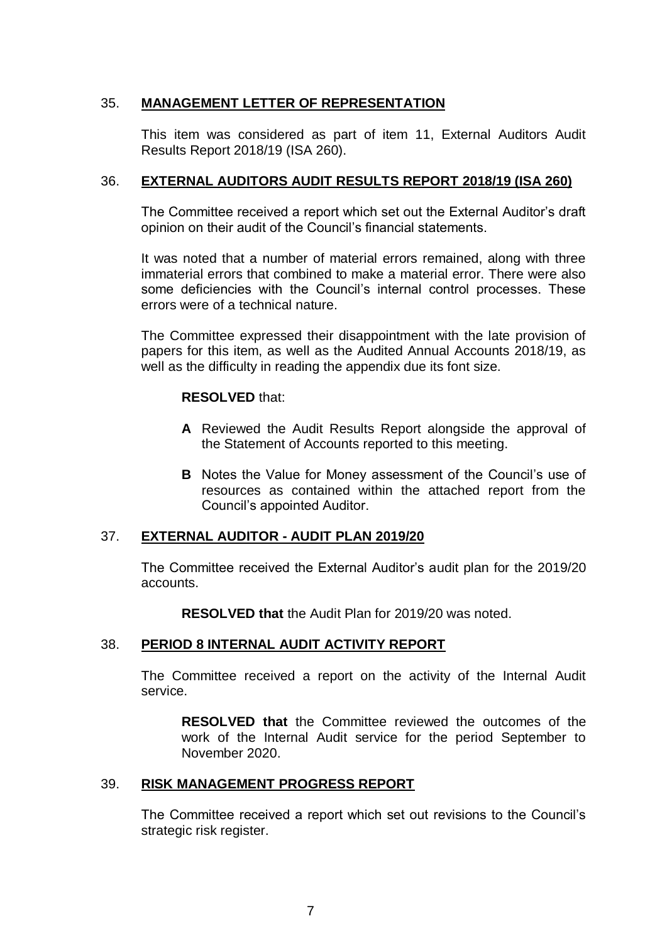# 35. **MANAGEMENT LETTER OF REPRESENTATION**

This item was considered as part of item 11, External Auditors Audit Results Report 2018/19 (ISA 260).

## 36. **EXTERNAL AUDITORS AUDIT RESULTS REPORT 2018/19 (ISA 260)**

The Committee received a report which set out the External Auditor's draft opinion on their audit of the Council's financial statements.

It was noted that a number of material errors remained, along with three immaterial errors that combined to make a material error. There were also some deficiencies with the Council's internal control processes. These errors were of a technical nature.

The Committee expressed their disappointment with the late provision of papers for this item, as well as the Audited Annual Accounts 2018/19, as well as the difficulty in reading the appendix due its font size.

#### **RESOLVED** that:

- **A** Reviewed the Audit Results Report alongside the approval of the Statement of Accounts reported to this meeting.
- **B** Notes the Value for Money assessment of the Council's use of resources as contained within the attached report from the Council's appointed Auditor.

## 37. **EXTERNAL AUDITOR - AUDIT PLAN 2019/20**

The Committee received the External Auditor's audit plan for the 2019/20 accounts.

**RESOLVED that** the Audit Plan for 2019/20 was noted.

## 38. **PERIOD 8 INTERNAL AUDIT ACTIVITY REPORT**

The Committee received a report on the activity of the Internal Audit service.

**RESOLVED that** the Committee reviewed the outcomes of the work of the Internal Audit service for the period September to November 2020.

#### 39. **RISK MANAGEMENT PROGRESS REPORT**

The Committee received a report which set out revisions to the Council's strategic risk register.